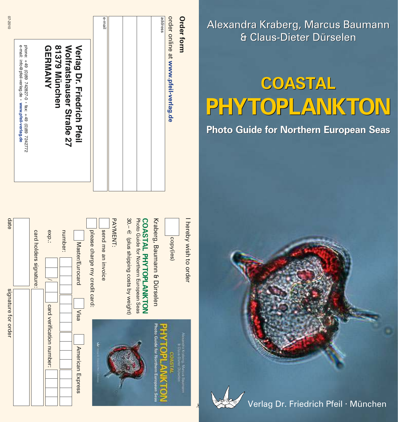| <b>Order form</b>                                                                                        |
|----------------------------------------------------------------------------------------------------------|
| order online at www.pfeil-verlag.de                                                                      |
| address                                                                                                  |
|                                                                                                          |
|                                                                                                          |
|                                                                                                          |
| e-mail                                                                                                   |
| 81379 München<br><b>Verlag Dr. Friedrich Pfeil</b><br><b>GERMANY</b><br>Wolfratshauser Straße 27         |
| e-mail: info@pfeil-verlag.de • www.pfeil-verlag.de<br>phone: +49 (0)89 742827-0 · fax: +49 (0)89 7242772 |
| 07-2010                                                                                                  |

| date<br>signature for order |  | card holders signature: | exp.:<br>card verification number: | number: | Master/Eurocard<br>Visa | please charge my credit card: | send me an invoice | PAYMENT: | 30. – € (plus shipping costs by weight) | Photo Guide for Northern European Seas<br>COASTAL PHYTOPLANKTON | Kraberg, Baumann & Dürselen           | copy(ies) | hereby wish to order                     |
|-----------------------------|--|-------------------------|------------------------------------|---------|-------------------------|-------------------------------|--------------------|----------|-----------------------------------------|-----------------------------------------------------------------|---------------------------------------|-----------|------------------------------------------|
|                             |  |                         |                                    |         | American Express        |                               |                    |          |                                         |                                                                 | Photo Guide for Northern European Sea | ĩ.<br>Ē   | compre Kraborg, Marcus Ba<br>COllegement |

Alexandra Kraberg, Marcus Baumann & Claus-Dieter Dürselen

# **COASTAL PHYTOPLANKTON**

## **Photo Guide for Northern European Seas**



þ

Verlag Dr. Friedrich Pfeil · München